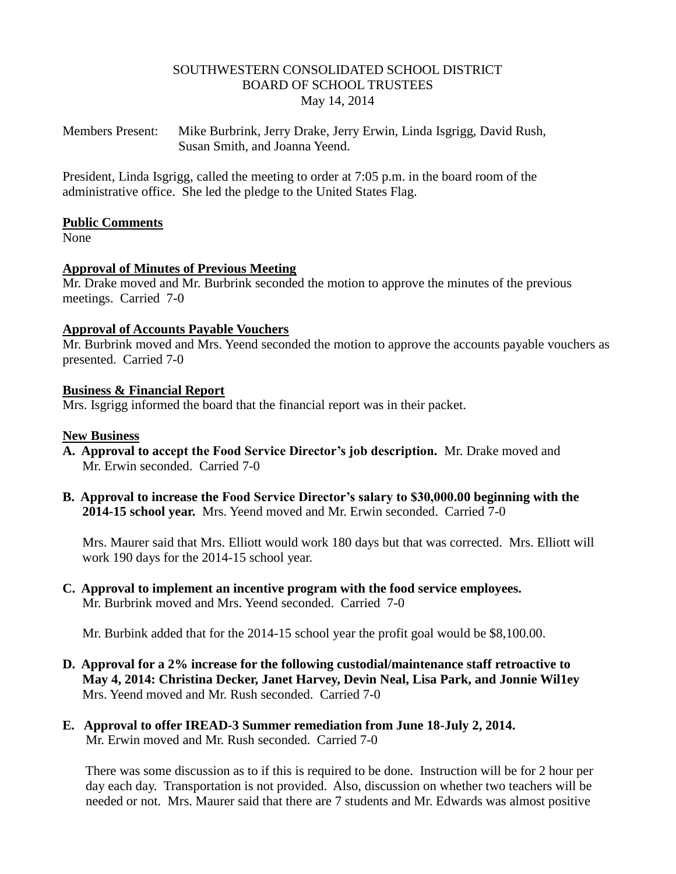### SOUTHWESTERN CONSOLIDATED SCHOOL DISTRICT BOARD OF SCHOOL TRUSTEES May 14, 2014

Members Present: Mike Burbrink, Jerry Drake, Jerry Erwin, Linda Isgrigg, David Rush, Susan Smith, and Joanna Yeend.

President, Linda Isgrigg, called the meeting to order at 7:05 p.m. in the board room of the administrative office. She led the pledge to the United States Flag.

### **Public Comments**

None

### **Approval of Minutes of Previous Meeting**

Mr. Drake moved and Mr. Burbrink seconded the motion to approve the minutes of the previous meetings. Carried 7-0

#### **Approval of Accounts Payable Vouchers**

Mr. Burbrink moved and Mrs. Yeend seconded the motion to approve the accounts payable vouchers as presented. Carried 7-0

#### **Business & Financial Report**

Mrs. Isgrigg informed the board that the financial report was in their packet.

#### **New Business**

- **A. Approval to accept the Food Service Director's job description.** Mr. Drake moved and Mr. Erwin seconded. Carried 7-0
- **B. Approval to increase the Food Service Director's salary to \$30,000.00 beginning with the 2014-15 school year.** Mrs. Yeend moved and Mr. Erwin seconded. Carried 7-0

 Mrs. Maurer said that Mrs. Elliott would work 180 days but that was corrected. Mrs. Elliott will work 190 days for the 2014-15 school year.

**C. Approval to implement an incentive program with the food service employees.** Mr. Burbrink moved and Mrs. Yeend seconded. Carried 7-0

Mr. Burbink added that for the 2014-15 school year the profit goal would be \$8,100.00.

- **D. Approval for a 2% increase for the following custodial/maintenance staff retroactive to May 4, 2014: Christina Decker, Janet Harvey, Devin Neal, Lisa Park, and Jonnie Wil1ey** Mrs. Yeend moved and Mr. Rush seconded. Carried 7-0
- **E. Approval to offer IREAD-3 Summer remediation from June 18-July 2, 2014.** Mr. Erwin moved and Mr. Rush seconded. Carried 7-0

 There was some discussion as to if this is required to be done. Instruction will be for 2 hour per day each day. Transportation is not provided. Also, discussion on whether two teachers will be needed or not. Mrs. Maurer said that there are 7 students and Mr. Edwards was almost positive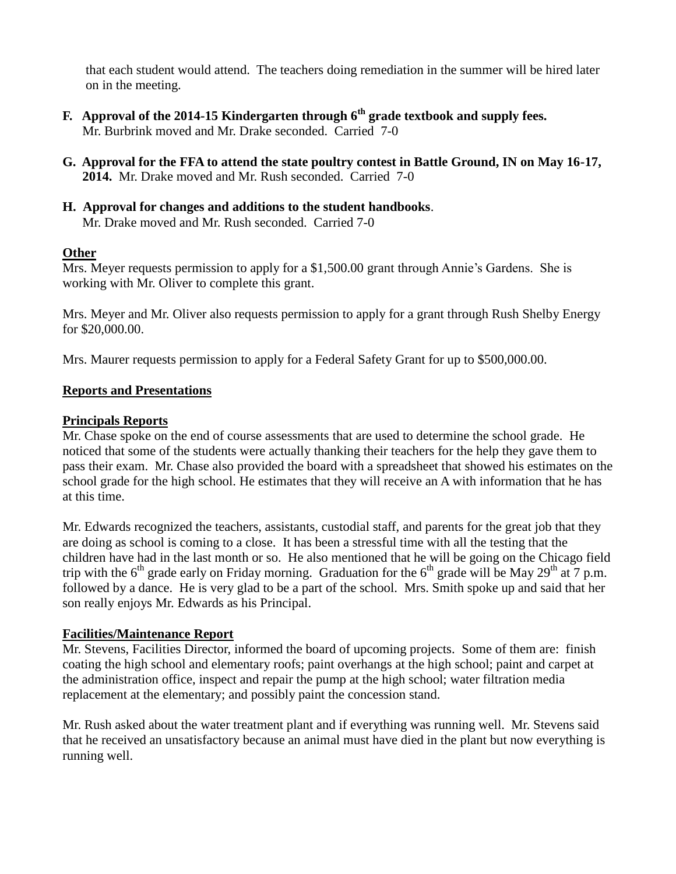that each student would attend. The teachers doing remediation in the summer will be hired later on in the meeting.

- **F. Approval of the 2014-15 Kindergarten through 6th grade textbook and supply fees.** Mr. Burbrink moved and Mr. Drake seconded. Carried 7-0
- **G. Approval for the FFA to attend the state poultry contest in Battle Ground, IN on May 16-17, 2014.** Mr. Drake moved and Mr. Rush seconded. Carried 7-0
- **H. Approval for changes and additions to the student handbooks**. Mr. Drake moved and Mr. Rush seconded. Carried 7-0

## **Other**

Mrs. Meyer requests permission to apply for a \$1,500.00 grant through Annie's Gardens. She is working with Mr. Oliver to complete this grant.

Mrs. Meyer and Mr. Oliver also requests permission to apply for a grant through Rush Shelby Energy for \$20,000.00.

Mrs. Maurer requests permission to apply for a Federal Safety Grant for up to \$500,000.00.

## **Reports and Presentations**

## **Principals Reports**

Mr. Chase spoke on the end of course assessments that are used to determine the school grade. He noticed that some of the students were actually thanking their teachers for the help they gave them to pass their exam. Mr. Chase also provided the board with a spreadsheet that showed his estimates on the school grade for the high school. He estimates that they will receive an A with information that he has at this time.

Mr. Edwards recognized the teachers, assistants, custodial staff, and parents for the great job that they are doing as school is coming to a close. It has been a stressful time with all the testing that the children have had in the last month or so. He also mentioned that he will be going on the Chicago field trip with the  $6<sup>th</sup>$  grade early on Friday morning. Graduation for the  $6<sup>th</sup>$  grade will be May 29<sup>th</sup> at 7 p.m. followed by a dance. He is very glad to be a part of the school. Mrs. Smith spoke up and said that her son really enjoys Mr. Edwards as his Principal.

### **Facilities/Maintenance Report**

Mr. Stevens, Facilities Director, informed the board of upcoming projects. Some of them are: finish coating the high school and elementary roofs; paint overhangs at the high school; paint and carpet at the administration office, inspect and repair the pump at the high school; water filtration media replacement at the elementary; and possibly paint the concession stand.

Mr. Rush asked about the water treatment plant and if everything was running well. Mr. Stevens said that he received an unsatisfactory because an animal must have died in the plant but now everything is running well.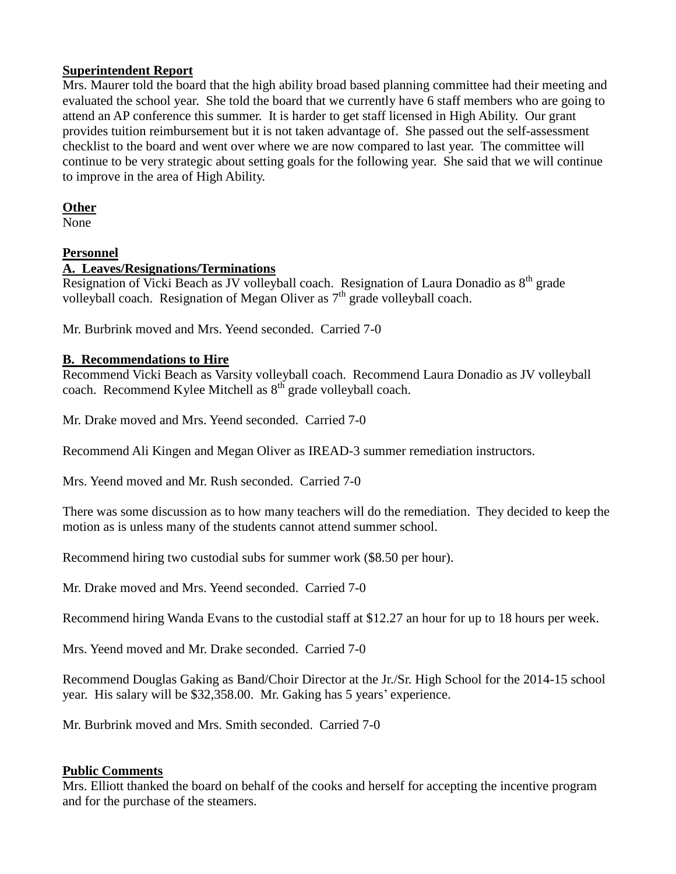## **Superintendent Report**

Mrs. Maurer told the board that the high ability broad based planning committee had their meeting and evaluated the school year. She told the board that we currently have 6 staff members who are going to attend an AP conference this summer. It is harder to get staff licensed in High Ability. Our grant provides tuition reimbursement but it is not taken advantage of. She passed out the self-assessment checklist to the board and went over where we are now compared to last year. The committee will continue to be very strategic about setting goals for the following year. She said that we will continue to improve in the area of High Ability.

## **Other**

None

# **Personnel**

## **A. Leaves/Resignations/Terminations**

Resignation of Vicki Beach as JV volleyball coach. Resignation of Laura Donadio as 8<sup>th</sup> grade volleyball coach. Resignation of Megan Oliver as  $7<sup>th</sup>$  grade volleyball coach.

Mr. Burbrink moved and Mrs. Yeend seconded. Carried 7-0

## **B. Recommendations to Hire**

Recommend Vicki Beach as Varsity volleyball coach. Recommend Laura Donadio as JV volleyball coach. Recommend Kylee Mitchell as 8<sup>th</sup> grade volleyball coach.

Mr. Drake moved and Mrs. Yeend seconded. Carried 7-0

Recommend Ali Kingen and Megan Oliver as IREAD-3 summer remediation instructors.

Mrs. Yeend moved and Mr. Rush seconded. Carried 7-0

There was some discussion as to how many teachers will do the remediation. They decided to keep the motion as is unless many of the students cannot attend summer school.

Recommend hiring two custodial subs for summer work (\$8.50 per hour).

Mr. Drake moved and Mrs. Yeend seconded. Carried 7-0

Recommend hiring Wanda Evans to the custodial staff at \$12.27 an hour for up to 18 hours per week.

Mrs. Yeend moved and Mr. Drake seconded. Carried 7-0

Recommend Douglas Gaking as Band/Choir Director at the Jr./Sr. High School for the 2014-15 school year. His salary will be \$32,358.00. Mr. Gaking has 5 years' experience.

Mr. Burbrink moved and Mrs. Smith seconded. Carried 7-0

# **Public Comments**

Mrs. Elliott thanked the board on behalf of the cooks and herself for accepting the incentive program and for the purchase of the steamers.